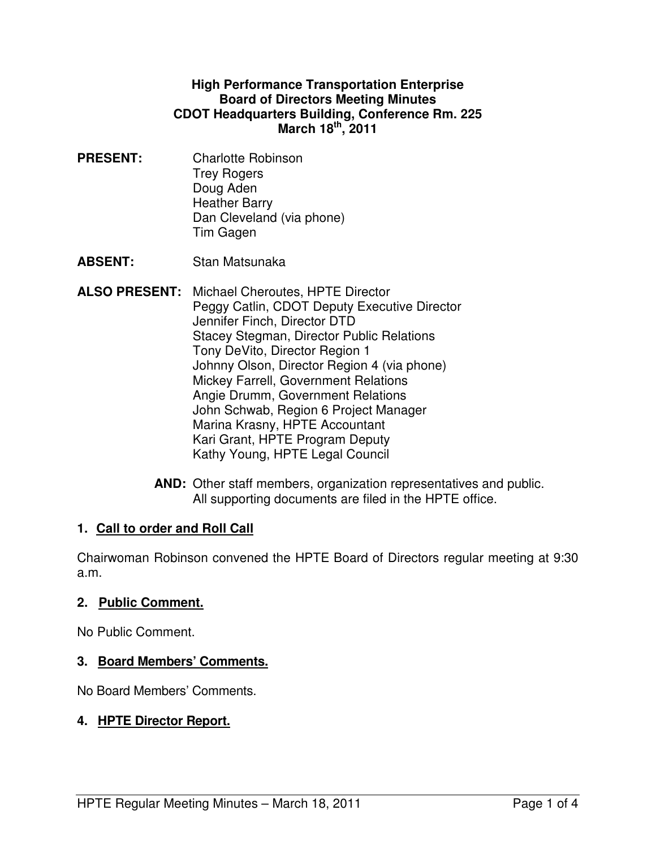#### **High Performance Transportation Enterprise Board of Directors Meeting Minutes CDOT Headquarters Building, Conference Rm. 225 March 18th, 2011**

**PRESENT:** Charlotte Robinson Trey Rogers Doug Aden Heather Barry Dan Cleveland (via phone) Tim Gagen

**ABSENT:** Stan Matsunaka

- **ALSO PRESENT:** Michael Cheroutes, HPTE Director Peggy Catlin, CDOT Deputy Executive Director Jennifer Finch, Director DTD Stacey Stegman, Director Public Relations Tony DeVito, Director Region 1 Johnny Olson, Director Region 4 (via phone) Mickey Farrell, Government Relations Angie Drumm, Government Relations John Schwab, Region 6 Project Manager Marina Krasny, HPTE Accountant Kari Grant, HPTE Program Deputy Kathy Young, HPTE Legal Council
	- **AND:** Other staff members, organization representatives and public. All supporting documents are filed in the HPTE office.

### **1. Call to order and Roll Call**

Chairwoman Robinson convened the HPTE Board of Directors regular meeting at 9:30 a.m.

#### **2. Public Comment.**

No Public Comment.

### **3. Board Members' Comments.**

No Board Members' Comments.

### **4. HPTE Director Report.**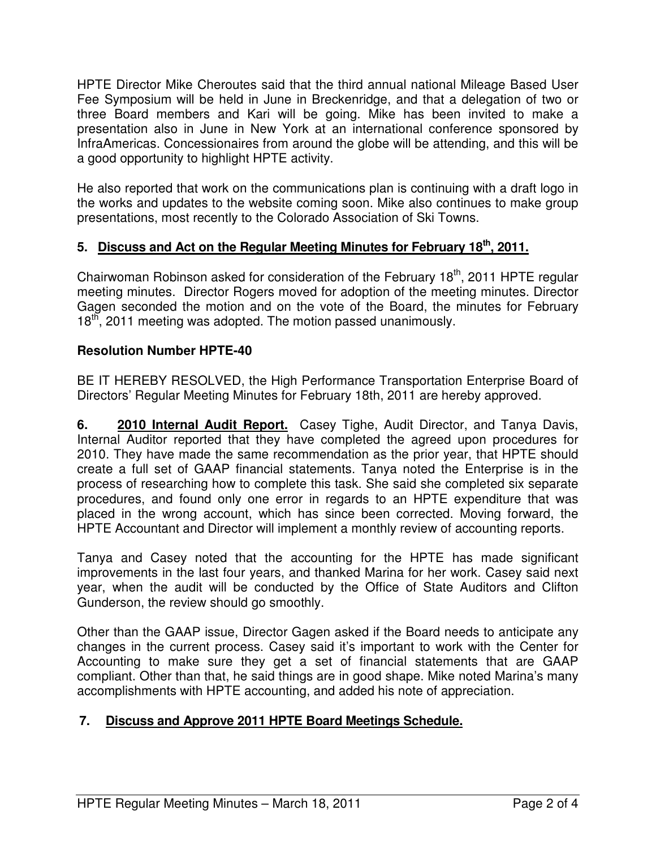HPTE Director Mike Cheroutes said that the third annual national Mileage Based User Fee Symposium will be held in June in Breckenridge, and that a delegation of two or three Board members and Kari will be going. Mike has been invited to make a presentation also in June in New York at an international conference sponsored by InfraAmericas. Concessionaires from around the globe will be attending, and this will be a good opportunity to highlight HPTE activity.

He also reported that work on the communications plan is continuing with a draft logo in the works and updates to the website coming soon. Mike also continues to make group presentations, most recently to the Colorado Association of Ski Towns.

# **5. Discuss and Act on the Regular Meeting Minutes for February 18th, 2011.**

Chairwoman Robinson asked for consideration of the February  $18<sup>th</sup>$ , 2011 HPTE regular meeting minutes. Director Rogers moved for adoption of the meeting minutes. Director Gagen seconded the motion and on the vote of the Board, the minutes for February 18<sup>th</sup>, 2011 meeting was adopted. The motion passed unanimously.

## **Resolution Number HPTE-40**

BE IT HEREBY RESOLVED, the High Performance Transportation Enterprise Board of Directors' Regular Meeting Minutes for February 18th, 2011 are hereby approved.

**6. 2010 Internal Audit Report.** Casey Tighe, Audit Director, and Tanya Davis, Internal Auditor reported that they have completed the agreed upon procedures for 2010. They have made the same recommendation as the prior year, that HPTE should create a full set of GAAP financial statements. Tanya noted the Enterprise is in the process of researching how to complete this task. She said she completed six separate procedures, and found only one error in regards to an HPTE expenditure that was placed in the wrong account, which has since been corrected. Moving forward, the HPTE Accountant and Director will implement a monthly review of accounting reports.

Tanya and Casey noted that the accounting for the HPTE has made significant improvements in the last four years, and thanked Marina for her work. Casey said next year, when the audit will be conducted by the Office of State Auditors and Clifton Gunderson, the review should go smoothly.

Other than the GAAP issue, Director Gagen asked if the Board needs to anticipate any changes in the current process. Casey said it's important to work with the Center for Accounting to make sure they get a set of financial statements that are GAAP compliant. Other than that, he said things are in good shape. Mike noted Marina's many accomplishments with HPTE accounting, and added his note of appreciation.

# **7. Discuss and Approve 2011 HPTE Board Meetings Schedule.**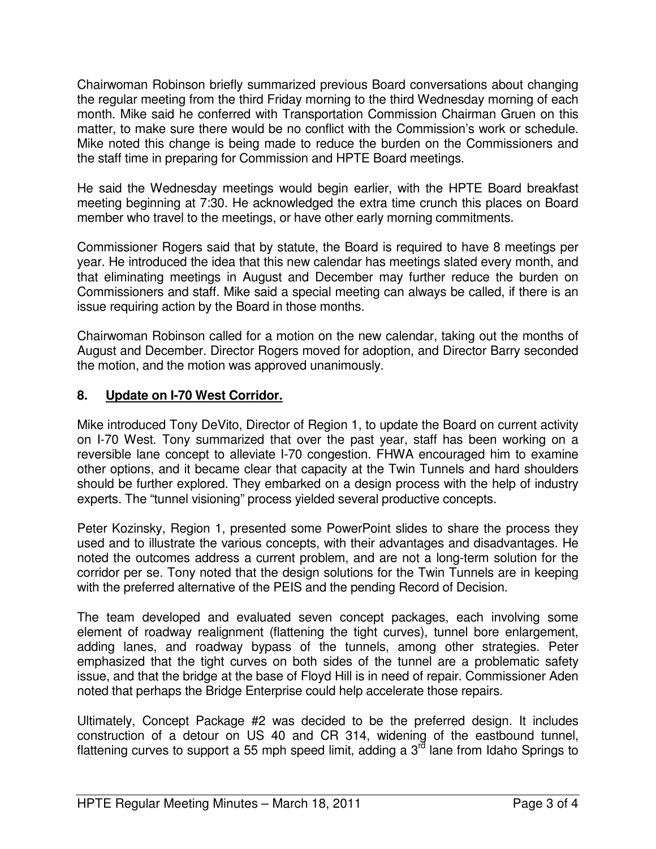Chairwoman Robinson briefly summarized previous Board conversations about changing the regular meeting from the third Friday morning to the third Wednesday morning of each month. Mike said he conferred with Transportation Commission Chairman Gruen on this matter, to make sure there would be no conflict with the Commission's work or schedule. Mike noted this change is being made to reduce the burden on the Commissioners and the staff time in preparing for Commission and HPTE Board meetings.

He said the Wednesday meetings would begin earlier, with the HPTE Board breakfast meeting beginning at 7:30. He acknowledged the extra time crunch this places on Board member who travel to the meetings, or have other early morning commitments.

Commissioner Rogers said that by statute, the Board is required to have 8 meetings per year. He introduced the idea that this new calendar has meetings slated every month, and that eliminating meetings in August and December may further reduce the burden on Commissioners and staff. Mike said a special meeting can always be called, if there is an issue requiring action by the Board in those months.

Chairwoman Robinson called for a motion on the new calendar, taking out the months of August and December. Director Rogers moved for adoption, and Director Barry seconded the motion, and the motion was approved unanimously.

## **8. Update on I-70 West Corridor.**

Mike introduced Tony DeVito, Director of Region 1, to update the Board on current activity on I-70 West. Tony summarized that over the past year, staff has been working on a reversible lane concept to alleviate I-70 congestion. FHWA encouraged him to examine other options, and it became clear that capacity at the Twin Tunnels and hard shoulders should be further explored. They embarked on a design process with the help of industry experts. The "tunnel visioning" process yielded several productive concepts.

Peter Kozinsky, Region 1, presented some PowerPoint slides to share the process they used and to illustrate the various concepts, with their advantages and disadvantages. He noted the outcomes address a current problem, and are not a long-term solution for the corridor per se. Tony noted that the design solutions for the Twin Tunnels are in keeping with the preferred alternative of the PEIS and the pending Record of Decision.

The team developed and evaluated seven concept packages, each involving some element of roadway realignment (flattening the tight curves), tunnel bore enlargement, adding lanes, and roadway bypass of the tunnels, among other strategies. Peter emphasized that the tight curves on both sides of the tunnel are a problematic safety issue, and that the bridge at the base of Floyd Hill is in need of repair. Commissioner Aden noted that perhaps the Bridge Enterprise could help accelerate those repairs.

Ultimately, Concept Package #2 was decided to be the preferred design. It includes construction of a detour on US 40 and CR 314, widening of the eastbound tunnel, flattening curves to support a 55 mph speed limit, adding a 3<sup>rd</sup> lane from Idaho Springs to